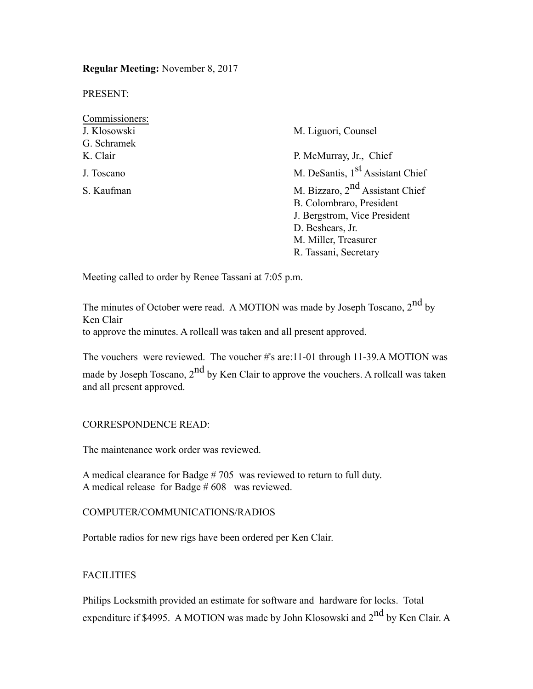**Regular Meeting:** November 8, 2017

PRESENT:

| Commissioners: |                                              |  |  |
|----------------|----------------------------------------------|--|--|
| J. Klosowski   | M. Liguori, Counsel                          |  |  |
| G. Schramek    |                                              |  |  |
| K. Clair       | P. McMurray, Jr., Chief                      |  |  |
| J. Toscano     | M. DeSantis, 1 <sup>st</sup> Assistant Chief |  |  |
| S. Kaufman     | M. Bizzaro, 2 <sup>nd</sup> Assistant Chief  |  |  |
|                | B. Colombraro, President                     |  |  |
|                | J. Bergstrom, Vice President                 |  |  |
|                | D. Beshears, Jr.                             |  |  |
|                | M. Miller, Treasurer                         |  |  |
|                | R. Tassani, Secretary                        |  |  |

Meeting called to order by Renee Tassani at 7:05 p.m.

The minutes of October were read. A MOTION was made by Joseph Toscano, 2<sup>nd</sup> by Ken Clair

to approve the minutes. A rollcall was taken and all present approved.

The vouchers were reviewed. The voucher #'s are:11-01 through 11-39.A MOTION was made by Joseph Toscano,  $2<sup>nd</sup>$  by Ken Clair to approve the vouchers. A rollcall was taken and all present approved.

### CORRESPONDENCE READ:

The maintenance work order was reviewed.

A medical clearance for Badge # 705 was reviewed to return to full duty. A medical release for Badge # 608 was reviewed.

#### COMPUTER/COMMUNICATIONS/RADIOS

Portable radios for new rigs have been ordered per Ken Clair.

### FACILITIES

Philips Locksmith provided an estimate for software and hardware for locks. Total expenditure if \$4995. A MOTION was made by John Klosowski and  $2<sup>nd</sup>$  by Ken Clair. A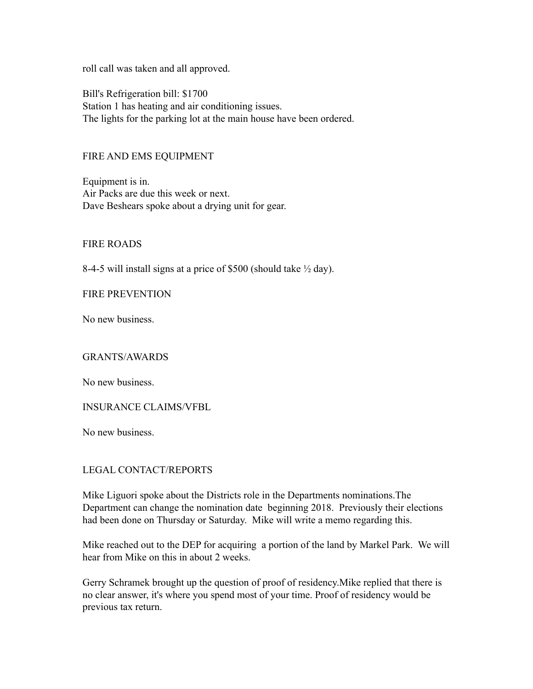roll call was taken and all approved.

Bill's Refrigeration bill: \$1700 Station 1 has heating and air conditioning issues. The lights for the parking lot at the main house have been ordered.

### FIRE AND EMS EQUIPMENT

Equipment is in. Air Packs are due this week or next. Dave Beshears spoke about a drying unit for gear.

FIRE ROADS

8-4-5 will install signs at a price of \$500 (should take ½ day).

FIRE PREVENTION

No new business.

GRANTS/AWARDS

No new business.

INSURANCE CLAIMS/VFBL

No new business.

## LEGAL CONTACT/REPORTS

Mike Liguori spoke about the Districts role in the Departments nominations.The Department can change the nomination date beginning 2018. Previously their elections had been done on Thursday or Saturday. Mike will write a memo regarding this.

Mike reached out to the DEP for acquiring a portion of the land by Markel Park. We will hear from Mike on this in about 2 weeks.

Gerry Schramek brought up the question of proof of residency.Mike replied that there is no clear answer, it's where you spend most of your time. Proof of residency would be previous tax return.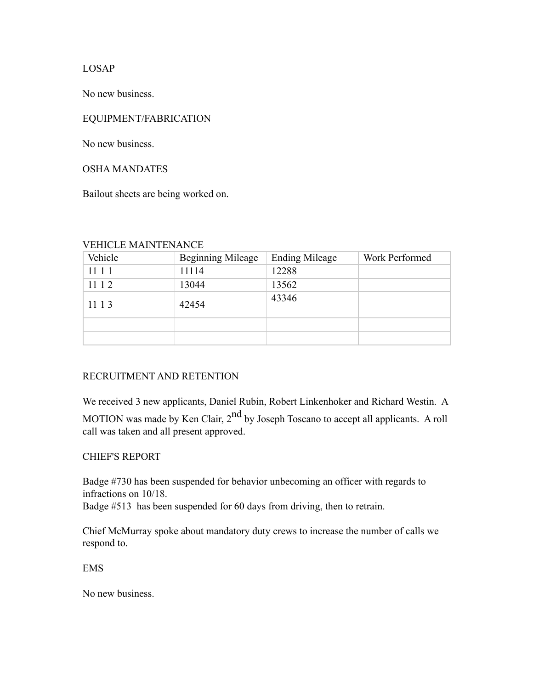LOSAP

No new business.

# EQUIPMENT/FABRICATION

No new business.

### OSHA MANDATES

Bailout sheets are being worked on.

### VEHICLE MAINTENANCE

| Vehicle | <b>Beginning Mileage</b> | <b>Ending Mileage</b> | Work Performed |
|---------|--------------------------|-----------------------|----------------|
| 11 1 1  | 11114                    | 12288                 |                |
| 11 1 2  | 13044                    | 13562                 |                |
| 11 1 3  | 42454                    | 43346                 |                |
|         |                          |                       |                |
|         |                          |                       |                |

## RECRUITMENT AND RETENTION

We received 3 new applicants, Daniel Rubin, Robert Linkenhoker and Richard Westin. A MOTION was made by Ken Clair, 2<sup>nd</sup> by Joseph Toscano to accept all applicants. A roll call was taken and all present approved.

## CHIEF'S REPORT

Badge #730 has been suspended for behavior unbecoming an officer with regards to infractions on 10/18.

Badge #513 has been suspended for 60 days from driving, then to retrain.

Chief McMurray spoke about mandatory duty crews to increase the number of calls we respond to.

EMS

No new business.